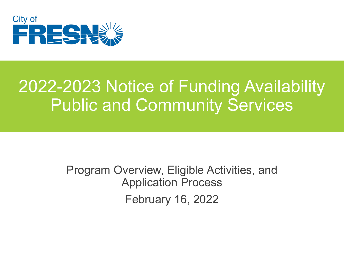

#### 2022-2023 Notice of Funding Availability Public and Community Services

Program Overview, Eligible Activities, and Application Process February 16, 2022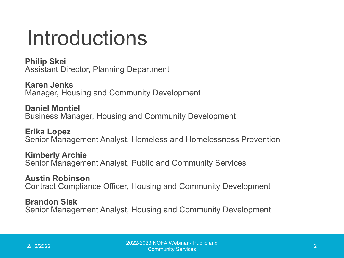#### Introductions

**Philip Skei** Assistant Director, Planning Department

**Karen Jenks** Manager, Housing and Community Development

**Daniel Montiel** Business Manager, Housing and Community Development

**Erika Lopez** Senior Management Analyst, Homeless and Homelessness Prevention

**Kimberly Archie** Senior Management Analyst, Public and Community Services

**Austin Robinson** Contract Compliance Officer, Housing and Community Development

**Brandon Sisk** Senior Management Analyst, Housing and Community Development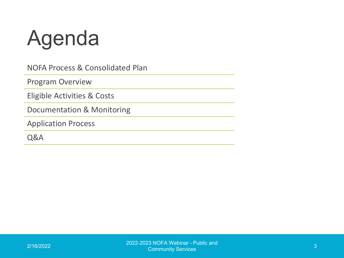### Agenda

NOFA Process & Consolidated Plan

Program Overview

Eligible Activities & Costs

Documentation & Monitoring

Application Process

Q&A

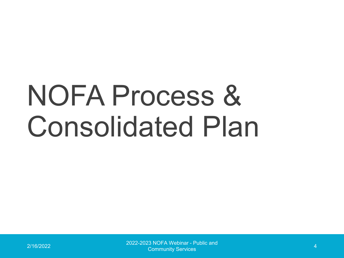# NOFA Process & Consolidated Plan

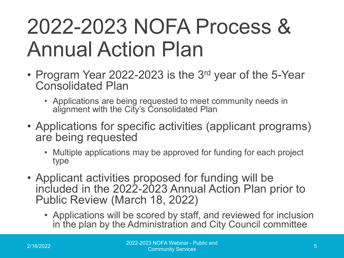#### 2022-2023 NOFA Process & Annual Action Plan

- Program Year 2022-2023 is the 3<sup>rd</sup> year of the 5-Year Consolidated Plan
	- Applications are being requested to meet community needs in alignment with the City's Consolidated Plan
- Applications for specific activities (applicant programs) are being requested
	- Multiple applications may be approved for funding for each project type
- Applicant activities proposed for funding will be included in the 2022-2023 Annual Action Plan prior to Public Review (March 18, 2022)
	- Applications will be scored by staff, and reviewed for inclusion in the plan by the Administration and City Council committee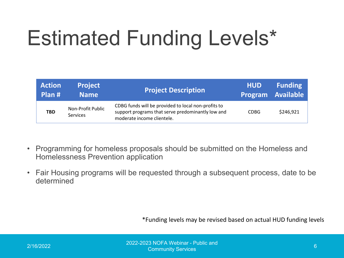## Estimated Funding Levels\*

| <b>Action</b><br>Plan # | <b>Project</b><br><b>Name</b>        | <b>Project Description</b>                                                                                                             | <b>HUD</b>  | <b>Funding</b><br><b>Program Available</b> |
|-------------------------|--------------------------------------|----------------------------------------------------------------------------------------------------------------------------------------|-------------|--------------------------------------------|
| <b>TBD</b>              | Non-Profit Public<br><b>Services</b> | CDBG funds will be provided to local non-profits to<br>support programs that serve predominantly low and<br>moderate income clientele. | <b>CDBG</b> | \$246,921                                  |

- Programming for homeless proposals should be submitted on the Homeless and Homelessness Prevention application
- Fair Housing programs will be requested through a subsequent process, date to be determined

\*Funding levels may be revised based on actual HUD funding levels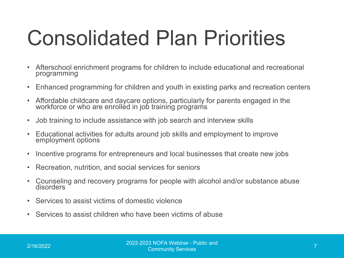#### Consolidated Plan Priorities

- Afterschool enrichment programs for children to include educational and recreational programming
- Enhanced programming for children and youth in existing parks and recreation centers
- Affordable childcare and daycare options, particularly for parents engaged in the workforce or who are enrolléd in job trainíng programs
- Job training to include assistance with job search and interview skills
- Educational activities for adults around job skills and employment to improve employment options
- Incentive programs for entrepreneurs and local businesses that create new jobs
- Recreation, nutrition, and social services for seniors
- Counseling and recovery programs for people with alcohol and/or substance abuse disorders
- Services to assist victims of domestic violence
- Services to assist children who have been victims of abuse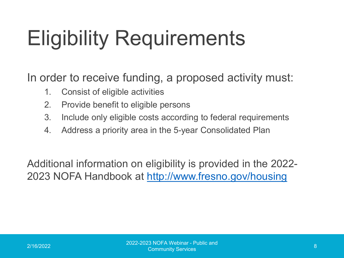### Eligibility Requirements

In order to receive funding, a proposed activity must:

- 1. Consist of eligible activities
- 2. Provide benefit to eligible persons
- 3. Include only eligible costs according to federal requirements
- 4. Address a priority area in the 5-year Consolidated Plan

Additional information on eligibility is provided in the 2022- 2023 NOFA Handbook at <http://www.fresno.gov/housing>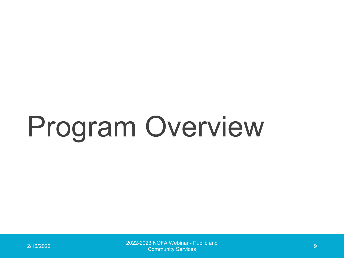# Program Overview

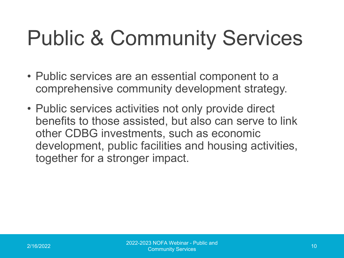#### Public & Community Services

- Public services are an essential component to a comprehensive community development strategy.
- Public services activities not only provide direct benefits to those assisted, but also can serve to link other CDBG investments, such as economic development, public facilities and housing activities, together for a stronger impact.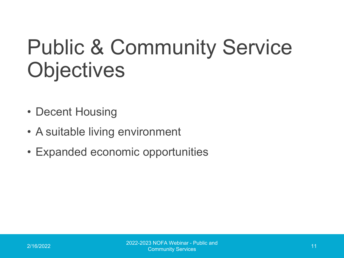#### Public & Community Service **Objectives**

- Decent Housing
- A suitable living environment
- Expanded economic opportunities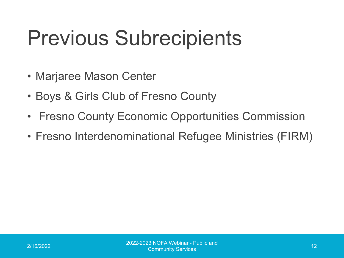#### Previous Subrecipients

- Marjaree Mason Center
- Boys & Girls Club of Fresno County
- Fresno County Economic Opportunities Commission
- Fresno Interdenominational Refugee Ministries (FIRM)

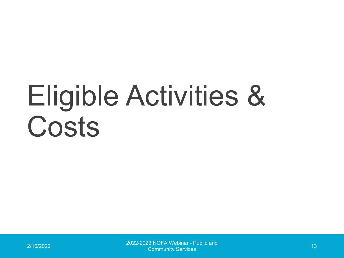# Eligible Activities & Costs

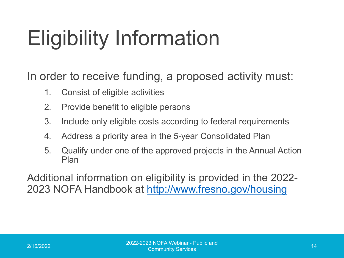### Eligibility Information

In order to receive funding, a proposed activity must:

- 1. Consist of eligible activities
- 2. Provide benefit to eligible persons
- 3. Include only eligible costs according to federal requirements
- 4. Address a priority area in the 5-year Consolidated Plan
- 5. Qualify under one of the approved projects in the Annual Action Plan

Additional information on eligibility is provided in the 2022- 2023 NOFA Handbook at <http://www.fresno.gov/housing>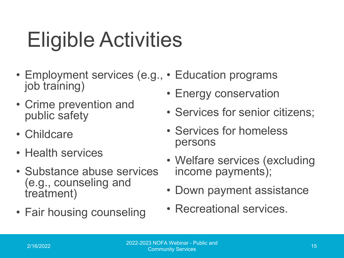## Eligible Activities

- Employment services (e.g., Education programs job training)
- Crime prevention and public safety
- Childcare
- Health services
- Substance abuse services (e.g., counseling and treatment)
- Fair housing counseling
- Energy conservation
- Services for senior citizens;
- Services for homeless persons
- Welfare services (excluding income payments);
- Down payment assistance
- Recreational services.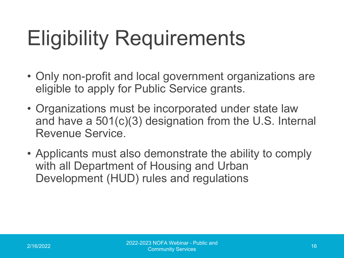## Eligibility Requirements

- Only non-profit and local government organizations are eligible to apply for Public Service grants.
- Organizations must be incorporated under state law and have a 501(c)(3) designation from the U.S. Internal Revenue Service.
- Applicants must also demonstrate the ability to comply with all Department of Housing and Urban Development (HUD) rules and regulations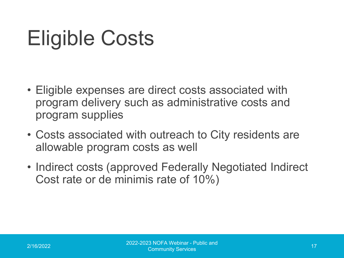#### Eligible Costs

- Eligible expenses are direct costs associated with program delivery such as administrative costs and program supplies
- Costs associated with outreach to City residents are allowable program costs as well
- Indirect costs (approved Federally Negotiated Indirect Cost rate or de minimis rate of 10%)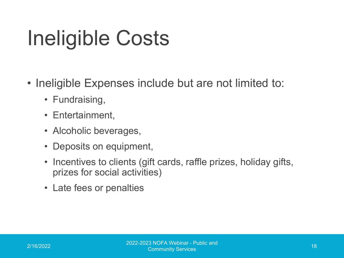#### Ineligible Costs

- Ineligible Expenses include but are not limited to:
	- Fundraising,
	- Entertainment,
	- Alcoholic beverages,
	- Deposits on equipment,
	- Incentives to clients (gift cards, raffle prizes, holiday gifts, prizes for social activities)
	- Late fees or penalties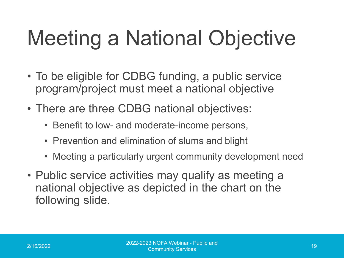## Meeting a National Objective

- To be eligible for CDBG funding, a public service program/project must meet a national objective
- There are three CDBG national objectives:
	- Benefit to low- and moderate-income persons,
	- Prevention and elimination of slums and blight
	- Meeting a particularly urgent community development need
- Public service activities may qualify as meeting a national objective as depicted in the chart on the following slide.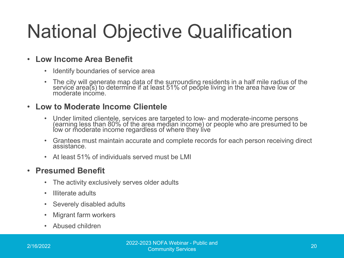#### National Objective Qualification

#### • **Low Income Area Benefit**

- Identify boundaries of service area
- The city will generate map data of the surrounding residents in a half mile radius of the service area(s) to determine if at least 51% of people living in the area have low or moderate income.

#### • **Low to Moderate Income Clientele**

- Under limited clientele, services are targeted to low- and moderate-income persons (earning less than 80% of the area median income) or people who are presumed to be low or moderate income regardless of where they live
- Grantees must maintain accurate and complete records for each person receiving direct assistance.
- At least 51% of individuals served must be LMI

#### • **Presumed Benefit**

- The activity exclusively serves older adults
- Illiterate adults
- Severely disabled adults
- Migrant farm workers
- Abused children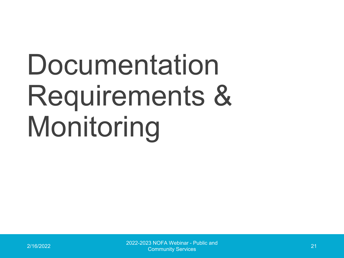# Documentation Requirements & Monitoring

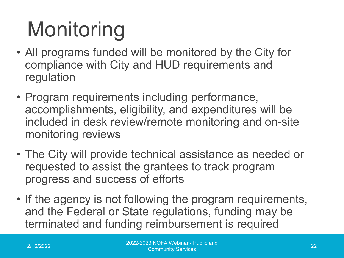# Monitoring

- All programs funded will be monitored by the City for compliance with City and HUD requirements and regulation
- Program requirements including performance, accomplishments, eligibility, and expenditures will be included in desk review/remote monitoring and on-site monitoring reviews
- The City will provide technical assistance as needed or requested to assist the grantees to track program progress and success of efforts
- If the agency is not following the program requirements, and the Federal or State regulations, funding may be terminated and funding reimbursement is required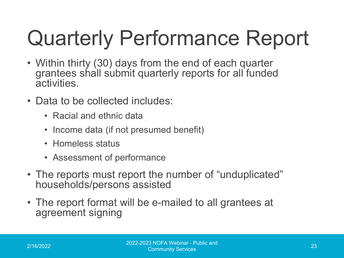# Quarterly Performance Report

- Within thirty (30) days from the end of each quarter grantees shall submit quarterly reports for all funded activities.
- Data to be collected includes:
	- Racial and ethnic data
	- Income data (if not presumed benefit)
	- Homeless status
	- Assessment of performance
- The reports must report the number of "unduplicated" households/persons assisted
- The report format will be e-mailed to all grantees at agreement signing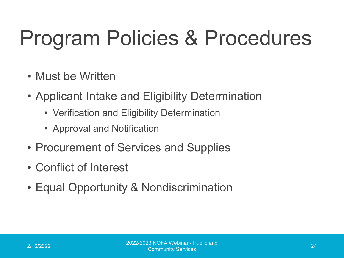#### Program Policies & Procedures

- Must be Written
- Applicant Intake and Eligibility Determination
	- Verification and Eligibility Determination
	- Approval and Notification
- Procurement of Services and Supplies
- Conflict of Interest
- Equal Opportunity & Nondiscrimination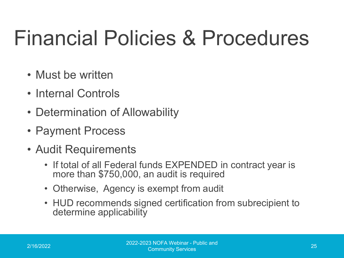#### Financial Policies & Procedures

- Must be written
- Internal Controls
- Determination of Allowability
- Payment Process
- Audit Requirements
	- If total of all Federal funds EXPENDED in contract year is more than \$750,000, an audit is required
	- Otherwise, Agency is exempt from audit
	- HUD recommends signed certification from subrecipient to determine applicability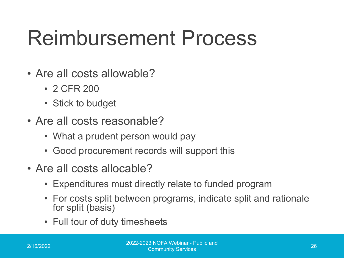#### Reimbursement Process

- Are all costs allowable?
	- 2 CFR 200
	- Stick to budget
- Are all costs reasonable?
	- What a prudent person would pay
	- Good procurement records will support this
- Are all costs allocable?
	- Expenditures must directly relate to funded program
	- For costs split between programs, indicate split and rationale for split (basis)
	- Full tour of duty timesheets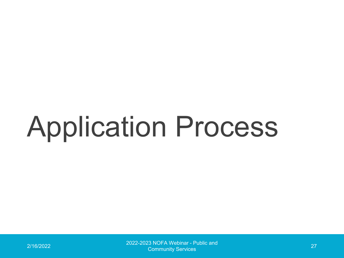# Application Process

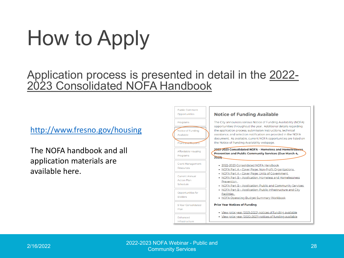## How to Apply

#### Application process is presented in detail in the 2022- 2023 Consolidated NOFA Handbook

#### <http://www.fresno.gov/housing>

The NOFA handbook and all application materials are available here.



2/16/2022 2022-2023 NOFA Webinar - Public and Community Services <sup>28</sup>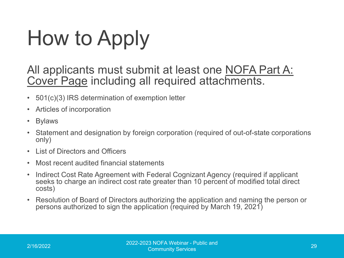## How to Apply

All applicants must submit at least one NOFA Part A: Cover Page including all required attachments.

- 501(c)(3) IRS determination of exemption letter
- Articles of incorporation
- Bylaws
- Statement and designation by foreign corporation (required of out-of-state corporations only)
- List of Directors and Officers
- Most recent audited financial statements
- Indirect Cost Rate Agreement with Federal Cognizant Agency (required if applicant seeks to charge an indirect cost rate greater than 10 percent of modified total direct costs)
- Resolution of Board of Directors authorizing the application and naming the person or persons authorized to sign the application (required by March 19, 2021)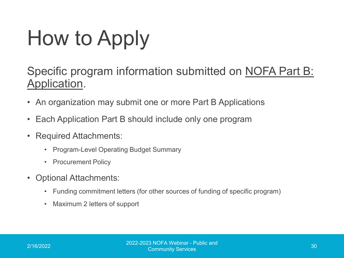# How to Apply

#### Specific program information submitted on NOFA Part B: Application.

- An organization may submit one or more Part B Applications
- Each Application Part B should include only one program
- Required Attachments:
	- Program-Level Operating Budget Summary
	- Procurement Policy
- Optional Attachments:
	- Funding commitment letters (for other sources of funding of specific program)
	- Maximum 2 letters of support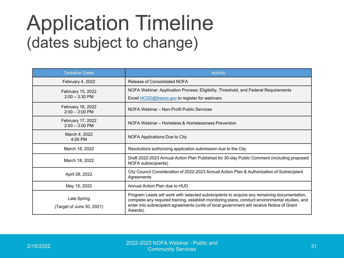#### Application Timeline (dates subject to change)

| <b>Tentative Dates</b>                   | <b>Activity</b>                                                                                                                                                                                                                                                                                         |  |  |
|------------------------------------------|---------------------------------------------------------------------------------------------------------------------------------------------------------------------------------------------------------------------------------------------------------------------------------------------------------|--|--|
| February 4, 2022                         | Release of Consolidated NOFA                                                                                                                                                                                                                                                                            |  |  |
| February 15, 2022                        | NOFA Webinar: Application Process; Eligibility, Threshold, and Federal Requirements                                                                                                                                                                                                                     |  |  |
| $2:00 - 3:30$ PM                         | Email <b>HCDD@fresno.gov</b> to register for webinars                                                                                                                                                                                                                                                   |  |  |
| February 16, 2022<br>$2:00 - 3:00$ PM    | NOFA Webinar - Non-Profit Public Services                                                                                                                                                                                                                                                               |  |  |
| February 17, 2022<br>$2:00 - 3:00$ PM    | NOFA Webinar - Homeless & Homelessness Prevention                                                                                                                                                                                                                                                       |  |  |
| March 4, 2022<br>$4:00$ PM               | NOFA Applications Due to City                                                                                                                                                                                                                                                                           |  |  |
| March 18, 2022                           | Resolutions authorizing application submission due to the City                                                                                                                                                                                                                                          |  |  |
| March 18, 2022                           | Draft 2022-2023 Annual Action Plan Published for 30-day Public Comment (including proposed<br>NOFA subrecipients)                                                                                                                                                                                       |  |  |
| April 28, 2022                           | City Council Consideration of 2022-2023 Annual Action Plan & Authorization of Subrecipient<br>Agreements                                                                                                                                                                                                |  |  |
| May 15, 2022                             | Annual Action Plan due to HUD                                                                                                                                                                                                                                                                           |  |  |
| Late Spring<br>(Target of June 30, 2021) | Program Leads will work with selected subrecipients to acquire any remaining documentation,<br>complete any required training, establish monitoring plans, conduct environmental studies, and<br>enter into subrecipient agreements (units of local government will receive Notice of Grant<br>Awards). |  |  |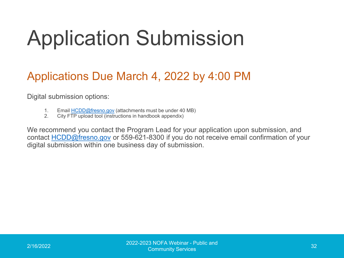#### Application Submission

#### Applications Due March 4, 2022 by 4:00 PM

Digital submission options:

- 1. Email [HCDD@fresno.gov](mailto:HCDD@fresno.gov) (attachments must be under 40 MB)
- 2. City FTP upload tool (instructions in handbook appendix)

We recommend you contact the Program Lead for your application upon submission, and contact [HCDD@fresno.gov](mailto:HCDD@fresno.gov) or 559-621-8300 if you do not receive email confirmation of your digital submission within one business day of submission.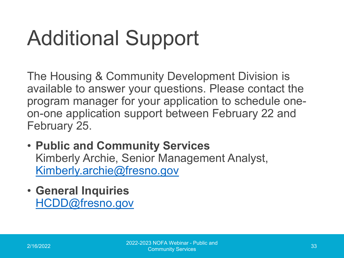### Additional Support

The Housing & Community Development Division is available to answer your questions. Please contact the program manager for your application to schedule oneon-one application support between February 22 and February 25.

- **Public and Community Services** Kimberly Archie, Senior Management Analyst, [Kimberly.archie@fresno.gov](mailto:Kimberly.archie@fresno.gov)
- **General Inquiries** [HCDD@fresno.gov](mailto:HCDD@fresno.gov)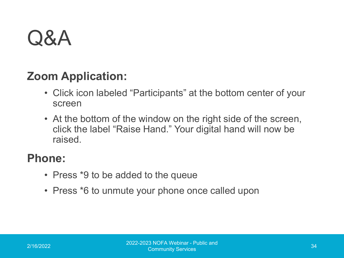#### Q&A

#### **Zoom Application:**

- Click icon labeled "Participants" at the bottom center of your screen
- At the bottom of the window on the right side of the screen, click the label "Raise Hand." Your digital hand will now be raised.

#### **Phone:**

- Press \*9 to be added to the queue
- Press \*6 to unmute your phone once called upon